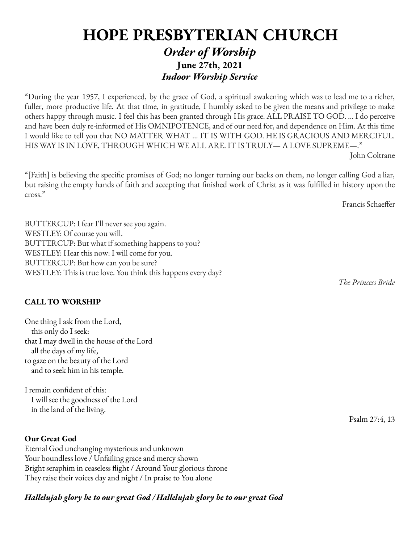# **HOPE PRESBYTERIAN CHURCH** *Order of Worship* **June 27th, 2021** *Indoor Worship Service*

"During the year 1957, I experienced, by the grace of God, a spiritual awakening which was to lead me to a richer, fuller, more productive life. At that time, in gratitude, I humbly asked to be given the means and privilege to make others happy through music. I feel this has been granted through His grace. ALL PRAISE TO GOD. ... I do perceive and have been duly re-informed of His OMNIPOTENCE, and of our need for, and dependence on Him. At this time I would like to tell you that NO MATTER WHAT … IT IS WITH GOD. HE IS GRACIOUS AND MERCIFUL. HIS WAY IS IN LOVE, THROUGH WHICH WE ALL ARE. IT IS TRULY— A LOVE SUPREME—."

John Coltrane

"[Faith] is believing the specific promises of God; no longer turning our backs on them, no longer calling God a liar, but raising the empty hands of faith and accepting that finished work of Christ as it was fulfilled in history upon the cross."

Francis Schaeffer

BUTTERCUP: I fear I'll never see you again. WESTLEY: Of course you will. BUTTERCUP: But what if something happens to you? WESTLEY: Hear this now: I will come for you. BUTTERCUP: But how can you be sure? WESTLEY: This is true love. You think this happens every day?

*The Princess Bride*

## **CALL TO WORSHIP**

One thing I ask from the Lord, this only do I seek: that I may dwell in the house of the Lord all the days of my life, to gaze on the beauty of the Lord and to seek him in his temple.

I remain confident of this: I will see the goodness of the Lord in the land of the living.

## **Our Great God**

Eternal God unchanging mysterious and unknown Your boundless love / Unfailing grace and mercy shown Bright seraphim in ceaseless flight / Around Your glorious throne They raise their voices day and night / In praise to You alone

*Hallelujah glory be to our great God / Hallelujah glory be to our great God*

Psalm 27:4, 13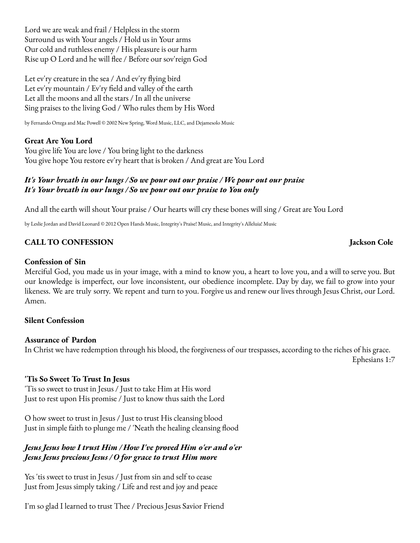Lord we are weak and frail / Helpless in the storm Surround us with Your angels / Hold us in Your arms Our cold and ruthless enemy / His pleasure is our harm Rise up O Lord and he will flee / Before our sov'reign God

Let ev'ry creature in the sea / And ev'ry flying bird Let ev'ry mountain / Ev'ry field and valley of the earth Let all the moons and all the stars / In all the universe Sing praises to the living God / Who rules them by His Word

by Fernando Ortega and Mac Powell © 2002 New Spring, Word Music, LLC, and Dejamesolo Music

## **Great Are You Lord**

You give life You are love / You bring light to the darkness You give hope You restore ev'ry heart that is broken / And great are You Lord

## *It's Your breath in our lungs / So we pour out our praise / We pour out our praise It's Your breath in our lungs / So we pour out our praise to You only*

And all the earth will shout Your praise / Our hearts will cry these bones will sing / Great are You Lord

by Leslie Jordan and David Leonard © 2012 Open Hands Music, Integrity's Praise! Music, and Integrity's Alleluia! Music

## **CALL TO CONFESSION Jackson Cole**

## **Confession of Sin**

Merciful God, you made us in your image, with a mind to know you, a heart to love you, and a will to serve you. But our knowledge is imperfect, our love inconsistent, our obedience incomplete. Day by day, we fail to grow into your likeness. We are truly sorry. We repent and turn to you. Forgive us and renew our lives through Jesus Christ, our Lord. Amen.

## **Silent Confession**

## **Assurance of Pardon**

In Christ we have redemption through his blood, the forgiveness of our trespasses, according to the riches of his grace. Ephesians 1:7

## **'Tis So Sweet To Trust In Jesus**

'Tis so sweet to trust in Jesus / Just to take Him at His word Just to rest upon His promise / Just to know thus saith the Lord

O how sweet to trust in Jesus / Just to trust His cleansing blood Just in simple faith to plunge me / 'Neath the healing cleansing flood

## *Jesus Jesus how I trust Him / How I've proved Him o'er and o'er Jesus Jesus precious Jesus / O for grace to trust Him more*

Yes 'tis sweet to trust in Jesus / Just from sin and self to cease Just from Jesus simply taking / Life and rest and joy and peace

I'm so glad I learned to trust Thee / Precious Jesus Savior Friend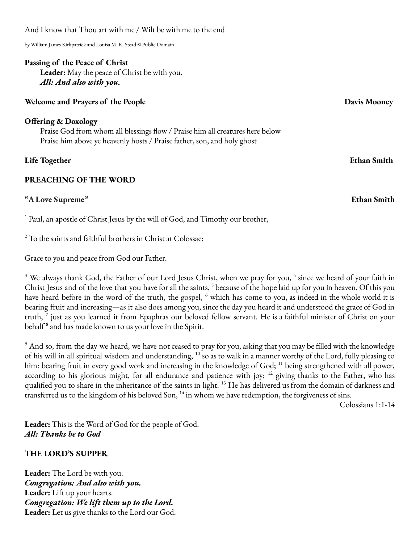## And I know that Thou art with me / Wilt be with me to the end

by William James Kirkpatrick and Louisa M. R. Stead © Public Domain

## **Passing of the Peace of Christ**

**Leader:** May the peace of Christ be with you. *All: And also with you.*

## **Welcome and Prayers of the People Davis Mooney**

## **Offering & Doxology**

Praise God from whom all blessings flow / Praise him all creatures here below Praise him above ye heavenly hosts / Praise father, son, and holy ghost

## **Life Together Ethan Smith**

## **PREACHING OF THE WORD**

## **"A Love Supreme" Ethan Smith**

 $<sup>1</sup>$  Paul, an apostle of Christ Jesus by the will of God, and Timothy our brother,</sup>

 $2^2$  To the saints and faithful brothers in Christ at Colossae:

Grace to you and peace from God our Father.

 $^3$  We always thank God, the Father of our Lord Jesus Christ, when we pray for you,  $^4$  since we heard of your faith in Christ Jesus and of the love that you have for all the saints, <sup>5</sup> because of the hope laid up for you in heaven. Of this you have heard before in the word of the truth, the gospel, <sup>6</sup> which has come to you, as indeed in the whole world it is bearing fruit and increasing—as it also does among you, since the day you heard it and understood the grace of God in truth,  $^7$  just as you learned it from Epaphras our beloved fellow servant. He is a faithful minister of Christ on your behalf <sup>8</sup> and has made known to us your love in the Spirit.

 $^9$  And so, from the day we heard, we have not ceased to pray for you, asking that you may be filled with the knowledge of his will in all spiritual wisdom and understanding, <sup>10</sup> so as to walk in a manner worthy of the Lord, fully pleasing to him: bearing fruit in every good work and increasing in the knowledge of God; <sup>11</sup> being strengthened with all power, according to his glorious might, for all endurance and patience with joy; <sup>12</sup> giving thanks to the Father, who has qualified you to share in the inheritance of the saints in light. <sup>13</sup> He has delivered us from the domain of darkness and transferred us to the kingdom of his beloved Son,  $^{14}$  in whom we have redemption, the forgiveness of sins.

Colossians 1:1-14

**Leader:** This is the Word of God for the people of God. *All: Thanks be to God*

## **THE LORD'S SUPPER**

**Leader:** The Lord be with you. *Congregation: And also with you.* **Leader:** Lift up your hearts. *Congregation: We lift them up to the Lord.* **Leader:** Let us give thanks to the Lord our God.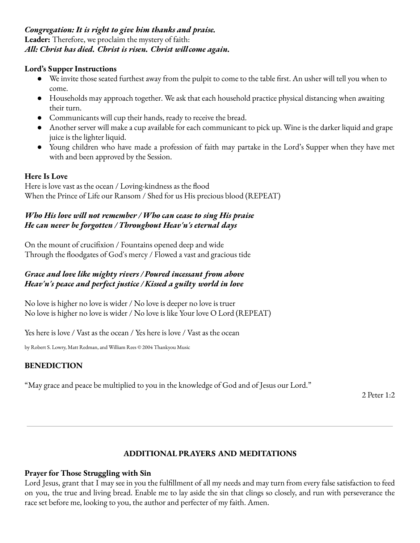## *Congregation: It is right to give him thanks and praise.* **Leader:** Therefore, we proclaim the mystery of faith: *All: Christ has died. Christ is risen. Christ willcome again.*

## **Lord's Supper Instructions**

- We invite those seated furthest away from the pulpit to come to the table first. An usher will tell you when to come.
- Households may approach together. We ask that each household practice physical distancing when awaiting their turn.
- Communicants will cup their hands, ready to receive the bread.
- Another server will make a cup available for each communicant to pick up. Wine is the darker liquid and grape juice is the lighter liquid.
- Young children who have made a profession of faith may partake in the Lord's Supper when they have met with and been approved by the Session.

## **Here Is Love**

Here is love vast as the ocean / Loving-kindness as the flood When the Prince of Life our Ransom / Shed for us His precious blood (REPEAT)

## *Who His love will not remember / Who can cease to sing His praise He can never be forgotten / Throughout Heav'n's eternal days*

On the mount of crucifixion / Fountains opened deep and wide Through the floodgates of God's mercy / Flowed a vast and gracious tide

## *Grace and love like mighty rivers / Poured incessant from above Heav'n's peace and perfect justice / Kissed a guilty world in love*

No love is higher no love is wider / No love is deeper no love is truer No love is higher no love is wider / No love is like Your love O Lord (REPEAT)

Yes here is love / Vast as the ocean / Yes here is love / Vast as the ocean

by Robert S. Lowry, Matt Redman, and William Rees © 2004 Thankyou Music

## **BENEDICTION**

"May grace and peace be multiplied to you in the knowledge of God and of Jesus our Lord."

2 Peter 1:2

## **ADDITIONAL PRAYERS AND MEDITATIONS**

## **Prayer for Those Struggling with Sin**

Lord Jesus, grant that I may see in you the fulfillment of all my needs and may turn from every false satisfaction to feed on you, the true and living bread. Enable me to lay aside the sin that clings so closely, and run with perseverance the race set before me, looking to you, the author and perfecter of my faith. Amen.